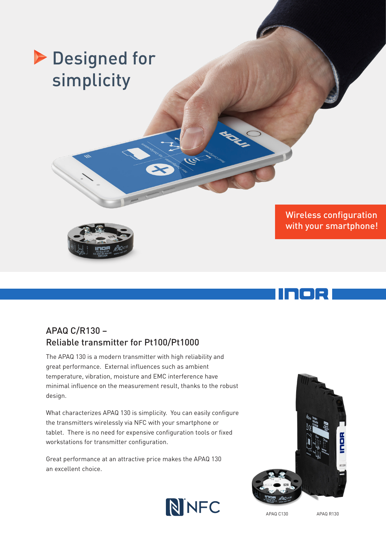# **Designed for** simplicity



1 - 1 - 1 <del>-</del> 1

## APAQ C/R130 – Reliable transmitter for Pt100/Pt1000

The APAQ 130 is a modern transmitter with high reliability and great performance. External influences such as ambient temperature, vibration, moisture and EMC interference have minimal influence on the measurement result, thanks to the robust design.

What characterizes APAQ 130 is simplicity. You can easily configure the transmitters wirelessly via NFC with your smartphone or tablet. There is no need for expensive configuration tools or fixed workstations for transmitter configuration.

NINFC

Great performance at an attractive price makes the APAQ 130 an excellent choice.



APAQ C130 APAQ R130